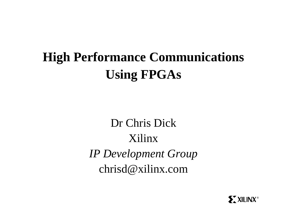### **High Performance Communications Using FPGAs**

Dr Chris Dick Xilinx *IP Development Group* chrisd@xilinx.com

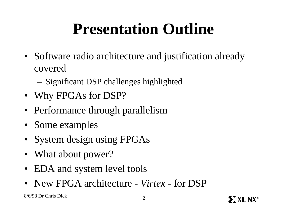### **Presentation Outline**

- Software radio architecture and justification already covered
	- Significant DSP challenges highlighted
- Why FPGAs for DSP?
- Performance through parallelism
- Some examples
- System design using FPGAs
- What about power?
- EDA and system level tools
- New FPGA architecture *Virtex* for DSP

8/6/98 Dr Chris Dick <sup>2</sup>

**SXXILINX®**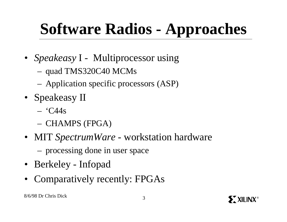### **Software Radios - Approaches**

- *Speakeasy* I Multiprocessor using
	- quad TMS320C40 MCMs
	- Application specific processors (ASP)
- Speakeasy II
	- $°C44s$
	- CHAMPS (FPGA)
- MIT *SpectrumWare* workstation hardware
	- processing done in user space
- Berkeley Infopad
- Comparatively recently: FPGAs

**SXXILINX®**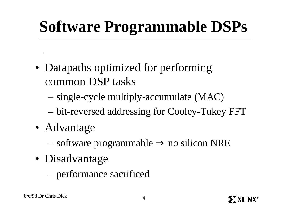# **Software Programmable DSPs**

- Datapaths optimized for performing common DSP tasks
	- single-cycle multiply-accumulate (MAC)
	- bit-reversed addressing for Cooley-Tukey FFT
- Advantage
	- software programmable ⇒ no silicon NRE
- Disadvantage
	- performance sacrificed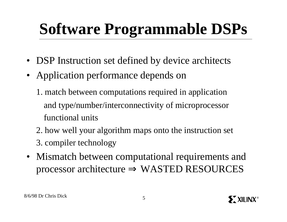# **Software Programmable DSPs**

- DSP Instruction set defined by device architects
- Application performance depends on
	- 1. match between computations required in application and type/number/interconnectivity of microprocessor functional units
	- 2. how well your algorithm maps onto the instruction set
	- 3. compiler technology
- Mismatch between computational requirements and processor architecture  $\Rightarrow$  WASTED RESOURCES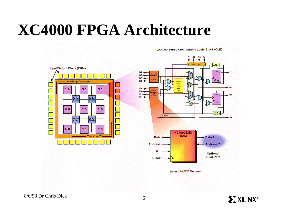### **XC4000 FPGA Architecture**



 $C<sub>2</sub>$ C<sub>3</sub> S/R<br>ontro **SD**  $G4$  $-10$  $C3$  $G<sub>2</sub>$ EC<sub>RD</sub>  $G1$ Func<br>P. G<br>and  $- GY$ F3  $F2$  $- xa$ F1-F4 F1  $S/R$  control  $(Clock)$  $-$  FX **XC4000E/EX RAM**  $\blacktriangleright$  Data 2 Data -**Address 2 Address WE Optional Dual Port Clock** Select-RAM™ Memory

XC4000 Series Configurable Logic Block (CLB)

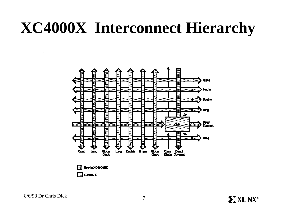### **XC4000X Interconnect Hierarchy**



8/6/98 Dr Chris Dick <sup>7</sup>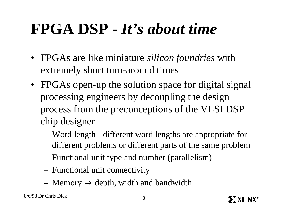### **FPGA DSP -** *It's about time*

- FPGAs are like miniature *silicon foundries* with extremely short turn-around times
- FPGAs open-up the solution space for digital signal processing engineers by decoupling the design process from the preconceptions of the VLSI DSP chip designer
	- Word length different word lengths are appropriate for different problems or different parts of the same problem
	- Functional unit type and number (parallelism)
	- Functional unit connectivity
	- Memory  $\Rightarrow$  depth, width and bandwidth

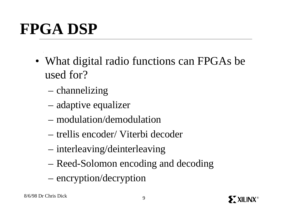# **FPGA DSP**

- What digital radio functions can FPGAs be used for?
	- channelizing
	- adaptive equalizer
	- modulation/demodulation
	- trellis encoder/ Viterbi decoder
	- interleaving/deinterleaving
	- Reed-Solomon encoding and decoding
	- encryption/decryption

**SXXILINX®**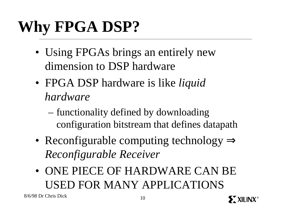# **Why FPGA DSP?**

- Using FPGAs brings an entirely new dimension to DSP hardware
- FPGA DSP hardware is like *liquid hardware*
	- functionality defined by downloading configuration bitstream that defines datapath
- Reconfigurable computing technology ⇒ *Reconfigurable Receiver*
- ONE PIECE OF HARDWARE CAN BE USED FOR MANY APPLICATIONS

 $8/6/98$  Dr Chris Dick 10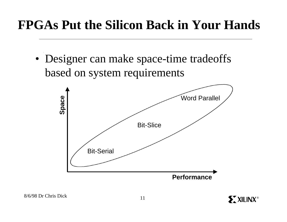### **FPGAs Put the Silicon Back in Your Hands**

• Designer can make space-time tradeoffs based on system requirements

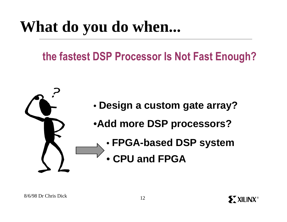### **What do you do when...**

### **… the fastest DSP Processor Is Not Fast Enough?**



**SXXILINX®**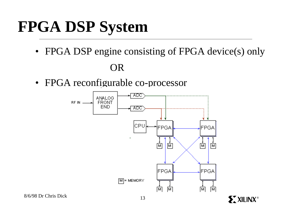# **FPGA DSP System**

• FPGA DSP engine consisting of FPGA device(s) only

OR

• FPGA reconfigurable co-processor



**ST XILINX®**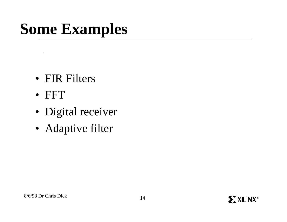# **Some Examples**

- FIR Filters
- FFT

 $\mathcal{L}$ 

- Digital receiver
- Adaptive filter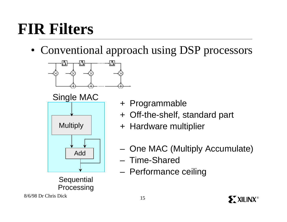# **FIR Filters**

• Conventional approach using DSP processors



Single MAC



**Sequential** Processing + Programmable

- + Off-the-shelf, standard part
- + Hardware multiplier
- One MAC (Multiply Accumulate)
- Time-Shared
- Performance ceiling

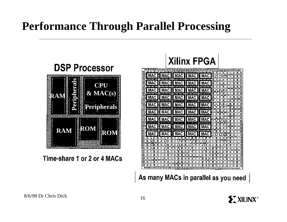#### **Performance Through Parallel Processing**



Time-share 1 or 2 or 4 MACs



As many MACs in parallel as you need

![](_page_15_Picture_6.jpeg)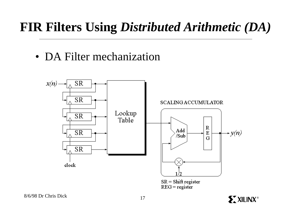### **FIR Filters Using** *Distributed Arithmetic (DA)*

• DA Filter mechanization

![](_page_16_Figure_2.jpeg)

 $SR = Shift register$  $REG = register$ 

**EXILINX®**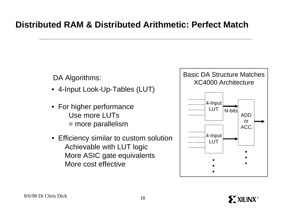#### **Distributed RAM & Distributed Arithmetic: Perfect Match**

DA Algorithms:

- 4-Input Look-Up-Tables (LUT)
- For higher performance Use more LUTs = more parallelism
- Efficiency similar to custom solution Achievable with LUT logic More ASIC gate equivalents More cost effective

![](_page_17_Figure_5.jpeg)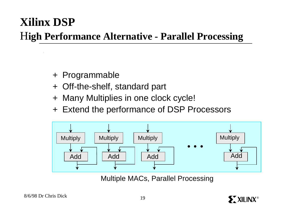### **Xilinx DSP**

#### H**igh Performance Alternative - Parallel Processing**

- + Programmable
- + Off-the-shelf, standard part
- + Many Multiplies in one clock cycle!
- + Extend the performance of DSP Processors

![](_page_18_Figure_6.jpeg)

Multiple MACs, Parallel Processing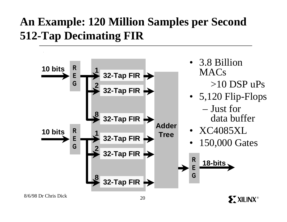### **An Example: 120 Million Samples per Second 512-Tap Decimating FIR**

![](_page_19_Figure_1.jpeg)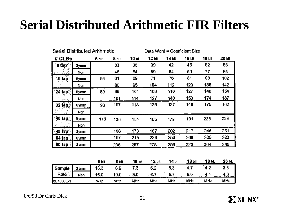### **Serial Distributed Arithmetic FIR Filters**

| Serial Distributed Arithmetic |      |            |       | Data Word $=$ Coefficient Size: |          |       |        |        |        |
|-------------------------------|------|------------|-------|---------------------------------|----------|-------|--------|--------|--------|
| # CLBs                        |      | 5 bit      | 8 bit | 10 bit                          | $12$ bit | 14 ык | 16 bit | 18 ы   | 20 bit |
| 8 tap                         | Symm |            | 33    | 36                              | 39       | 42    | 45     | 52     | 55     |
|                               | Non  |            | 46    | 54                              | 59       | 64    | 69     | 77     | 85     |
| $16 \text{ tap}$              | Symm | 53         | 61    | 69                              | 71       | 76    | 81     | 96     | 102    |
|                               | Non  |            | 80    | 95                              | 104      | 112   | 123    | 138    | 142    |
| $24$ tap                      | Symm | 80         | 89    | 101                             | 108      | 116   | 127    | 146    | 154    |
| N.                            | Non  |            | 101   | 114                             | 127      | 140   | 153    | 174    | 187    |
| 32 tap                        | Symm | 93         | 107   | 118                             | 126      | 137   | 148    | 175    | 182    |
| 421 - D                       | Non  |            |       |                                 |          |       |        |        |        |
| <b>40 tap</b>                 | Symm | 116        | 138   | 154                             | 165      | 179   | 191    | 226    | 239    |
|                               | Non  |            |       |                                 |          |       |        |        |        |
| 48 tap                        | Symm |            | 158   | 173                             | 187      | 202   | 217    | 246    | 261    |
| <b>64 tap</b>                 | Symm |            | 197   | 215                             | 233      | 250   | 268    | 305    | 323    |
| 80 tap                        | Symm |            | 236   | 257                             | 278      | 299   | 320    | 364    | 385    |
|                               |      |            |       |                                 |          |       |        |        |        |
|                               |      | 5 bli      | 8 bit | 10 <sub>bt</sub>                | $12$ bit | 14 ЫІ | 16 ын  | 18 bit | 20 blt |
| Sample                        | Sýmm | 13.3       | 8.9   | $-7.3$                          | 6.2      | 5.3   | 4.7    | 4.2    | 3.8    |
| Rate                          | Non  | 16.0       | 10.0  | 8,0                             | 6.7      | 5.7   | 5.0    | 4.4    | 4.0    |
| <b>XC4000E-1</b>              |      | <b>MHz</b> | MHz   | MHz                             | MHz      | MHz   | MHz    | MHz    | MHz    |

8/6/98 Dr Chris Dick <sup>21</sup>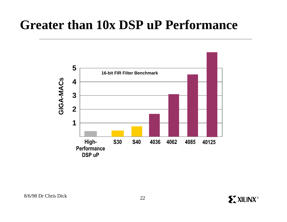### **Greater than 10x DSP uP Performance**

![](_page_21_Figure_1.jpeg)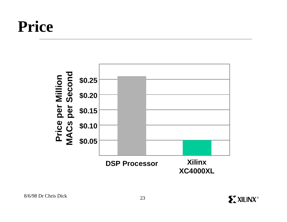### **Price**

![](_page_22_Figure_1.jpeg)

![](_page_22_Picture_4.jpeg)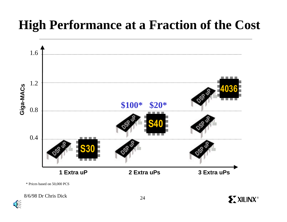### **High Performance at a Fraction of the Cost**

![](_page_23_Figure_1.jpeg)

\* Prices based on 50,000 PCS

8/6/98 Dr Chris Dick <sup>24</sup>

⊕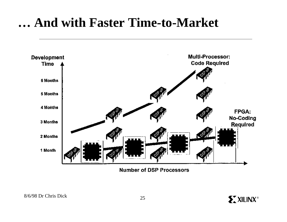### **… And with Faster Time-to-Market**

![](_page_24_Figure_1.jpeg)

**Number of DSP Processors**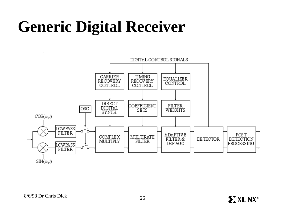### **Generic Digital Receiver**

![](_page_25_Figure_1.jpeg)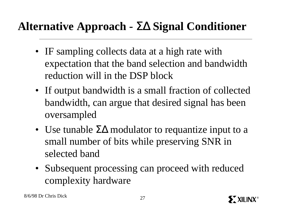#### **Alternative Approach -** ΣΔ **Signal Conditioner**

- IF sampling collects data at a high rate with expectation that the band selection and bandwidth reduction will in the DSP block
- If output bandwidth is a small fraction of collected bandwidth, can argue that desired signal has been oversampled
- Use tunable  $\Sigma\Delta$  modulator to requantize input to a small number of bits while preserving SNR in selected band
- Subsequent processing can proceed with reduced complexity hardware

![](_page_26_Picture_7.jpeg)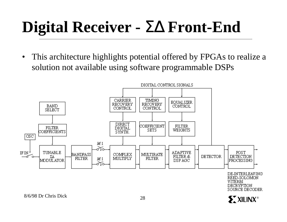# **Digital Receiver -** ΣΔ **Front-End**

• This architecture highlights potential offered by FPGAs to realize a solution not available using software programmable DSPs

![](_page_27_Figure_2.jpeg)

8/6/98 Dr Chris Dick <sup>28</sup>

XXILINX<sup>®</sup>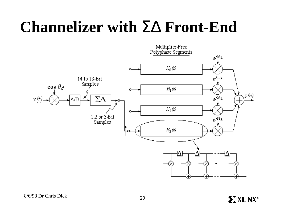### **Channelizer with** ΣΔ **Front-End**

![](_page_28_Figure_1.jpeg)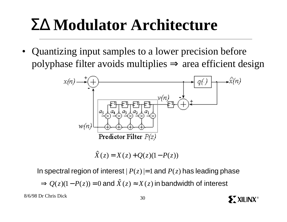### ΣΔ **Modulator Architecture**

• Quantizing input samples to a lower precision before polyphase filter avoids multiplies  $\Rightarrow$  area efficient design

![](_page_29_Figure_2.jpeg)

 $\hat{X}(z) = X(z) + Q(z)(1 - P(z))$ 

In spectral region of interest  $|P(z)|=1$  and  $P(z)$  has leading phase

 $\Rightarrow$   $Q(z)(1 - P(z)) = 0$  and  $\hat{X}(z) \approx X(z)$  in bandwidth of interest

![](_page_29_Picture_8.jpeg)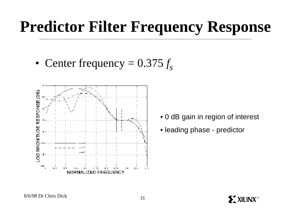### **Predictor Filter Frequency Response**

• Center frequency  $= 0.375 f_s$ 

![](_page_30_Figure_2.jpeg)

- 0 dB gain in region of interest
- leading phase predictor

![](_page_30_Picture_6.jpeg)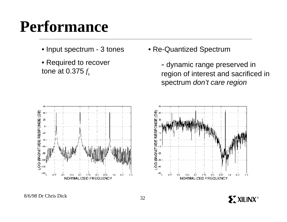### **Performance**

- Input spectrum 3 tones
- $\overline{\phantom{a}}$ • Required to recover tone at 0.375 *f s*

• Re-Quantized Spectrum

- dynamic range preserved in region of interest and sacrificed in spectrum *don't care region*

![](_page_31_Figure_5.jpeg)

![](_page_31_Figure_6.jpeg)

![](_page_31_Picture_8.jpeg)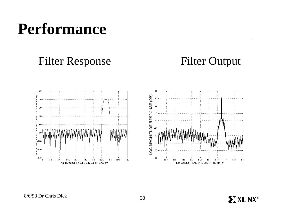### **Performance**

Filter Response

Filter Output

![](_page_32_Figure_3.jpeg)

![](_page_32_Figure_4.jpeg)

![](_page_32_Picture_6.jpeg)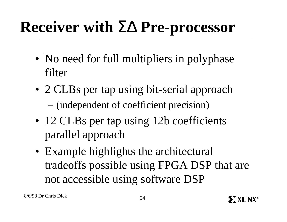# **Receiver with** ΣΔ **Pre-processor**

- No need for full multipliers in polyphase filter
- 2 CLBs per tap using bit-serial approach – (independent of coefficient precision)
- 12 CLBs per tap using 12b coefficients parallel approach
- Example highlights the architectural tradeoffs possible using FPGA DSP that are not accessible using software DSP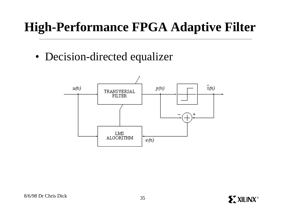### **High-Performance FPGA Adaptive Filter**

• Decision-directed equalizer

![](_page_34_Figure_2.jpeg)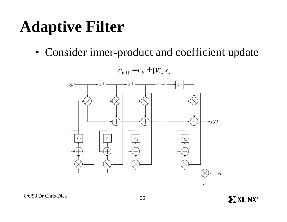### **Adaptive Filter**

• Consider inner-product and coefficient update

![](_page_35_Figure_2.jpeg)

 $c_{k+1} = c_k + m e_k x_k$ 

![](_page_35_Picture_5.jpeg)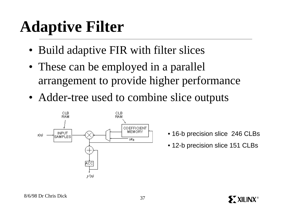# **Adaptive Filter**

- Build adaptive FIR with filter slices
- These can be employed in a parallel arrangement to provide higher performance
- Adder-tree used to combine slice outputs

![](_page_36_Figure_4.jpeg)

- 16-b precision slice 246 CLBs
- 12-b precision slice 151 CLBs

**SX XILINX®**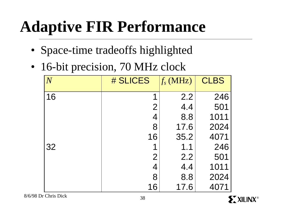# **Adaptive FIR Performance**

- Space-time tradeoffs highlighted
- 16-bit precision, 70 MHz clock

| $\overline{N}$ | # SLICES       | $f_s$ (MHz) | <b>CLBS</b> |
|----------------|----------------|-------------|-------------|
| 16             | 1              | 2.2         | 246         |
|                | $\overline{2}$ | 4.4         | 501         |
|                | 4              | 8.8         | 1011        |
|                | 8              | 17.6        | 2024        |
|                | 16             | 35.2        | 4071        |
| 32             | 1              | 1.1         | 246         |
|                | $\overline{2}$ | 2.2         | 501         |
|                | 4              | 4.4         | 1011        |
|                | 8              | 8.8         | 2024        |
|                | 16             | 17.6        | 4071        |

8/6/98 Dr Chris Dick 38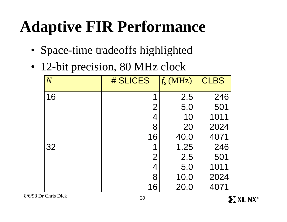# **Adaptive FIR Performance**

- Space-time tradeoffs highlighted
- 12-bit precision, 80 MHz clock

| $\overline{N}$ | # SLICES       | $f_s$ (MHz) | <b>CLBS</b> |
|----------------|----------------|-------------|-------------|
| 16             | 1              | 2.5         | 246         |
|                | $\overline{2}$ | 5.0         | 501         |
|                | 4              | 10          | 1011        |
|                | 8              | 20          | 2024        |
|                | 16             | 40.0        | 4071        |
| 32             | 1              | 1.25        | 246         |
|                | $\overline{2}$ | 2.5         | 501         |
|                | 4              | 5.0         | 1011        |
|                | 8              | 10.0        | 2024        |
|                | 16             | 20.0        | 4071        |

8/6/98 Dr Chris Dick <sup>39</sup>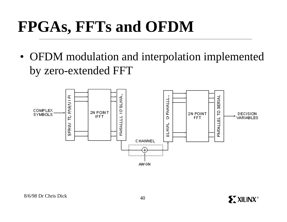# **FPGAs, FFTs and OFDM**

• OFDM modulation and interpolation implemented by zero-extended FFT

![](_page_39_Figure_2.jpeg)

 $8/6/98$  Dr Chris Dick  $40$ 

**ST XILINX®**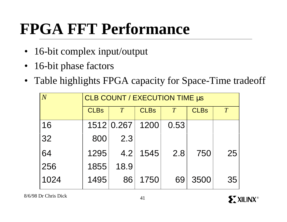## **FPGA FFT Performance**

- 16-bit complex input/output
- 16-bit phase factors
- Table highlights FPGA capacity for Space-Time tradeoff

| $\overline{N}$ | CLB COUNT / EXECUTION TIME µs |                 |             |      |             |    |  |  |
|----------------|-------------------------------|-----------------|-------------|------|-------------|----|--|--|
|                | <b>CLBs</b>                   | T               | <b>CLBs</b> | T    | <b>CLBs</b> | T  |  |  |
| 16             |                               | 1512 0.267 1200 |             | 0.53 |             |    |  |  |
| 32             | 800                           | 2.3             |             |      |             |    |  |  |
| 64             | 1295                          |                 | 4.2   1545  | 2.8  | 750         | 25 |  |  |
| 256            | 1855                          | 18.9            |             |      |             |    |  |  |
| 1024           | 1495                          | 86              | 1750        | 69   | 3500        | 35 |  |  |

![](_page_40_Picture_7.jpeg)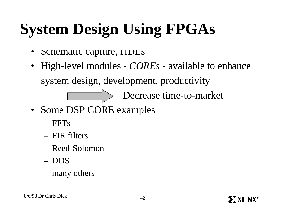# **System Design Using FPGAs**

- Schematic capture, HDLs
- High-level modules *COREs* available to enhance system design, development, productivity

Decrease time-to-market

- Some DSP CORE examples
	- $-$  FFTs
	- FIR filters
	- Reed-Solomon
	- DDS
	- many others

![](_page_41_Picture_12.jpeg)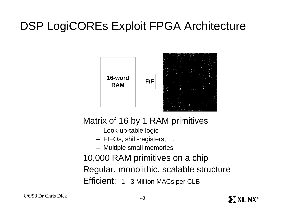### DSP LogiCOREs Exploit FPGA Architecture

![](_page_42_Figure_1.jpeg)

Matrix of 16 by 1 RAM primitives

- Look-up-table logic
- FIFOs, shift-registers, …
- Multiple small memories

10,000 RAM primitives on a chip Regular, monolithic, scalable structure Efficient: 1 - 3 Million MACs per CLB

![](_page_42_Picture_9.jpeg)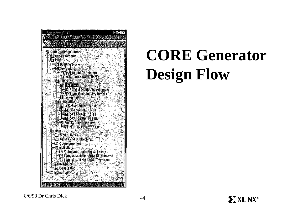![](_page_43_Figure_0.jpeg)

# **CORE Generator Design Flow**

![](_page_43_Picture_4.jpeg)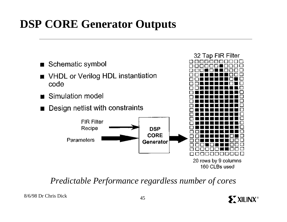#### **DSP CORE Generator Outputs**

![](_page_44_Figure_1.jpeg)

*Predictable Performance regardless number of cores*

![](_page_44_Picture_5.jpeg)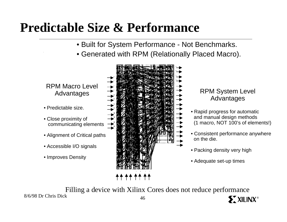### **Predictable Size & Performance**

- Built for System Performance Not Benchmarks.
- Generated with RPM (Relationally Placed Macro).

RPM Macro Level

- Predictable size.
- Close proximity of communicating elements
- Alignment of Critical paths
- Accessible I/O signals
- Improves Density

![](_page_45_Picture_9.jpeg)

### Advantages

- Rapid progress for automatic and manual design methods (1 macro, NOT 100's of elements!)
- Consistent performance anywhere on the die.

**EXILINX®** 

- Packing density very high
- Adequate set-up times

Filling a device with Xilinx Cores does not reduce performance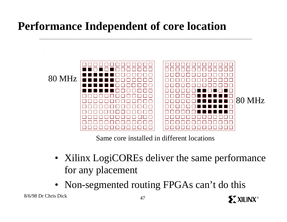#### **Performance Independent of core location**

![](_page_46_Figure_1.jpeg)

Same core installed in different locations

• Xilinx LogiCOREs deliver the same performance for any placement

**ST XILINX®** 

• Non-segmented routing FPGAs can't do this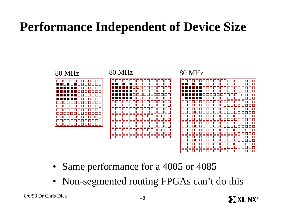### **Performance Independent of Device Size**

![](_page_47_Figure_1.jpeg)

- Same performance for a 4005 or 4085
- Non-segmented routing FPGAs can't do this

![](_page_47_Picture_6.jpeg)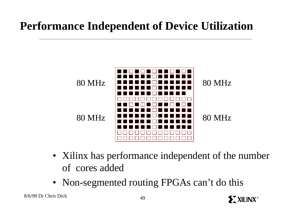#### **Performance Independent of Device Utilization**

![](_page_48_Figure_1.jpeg)

• Xilinx has performance independent of the number of cores added

**EXILINX®** 

• Non-segmented routing FPGAs can't do this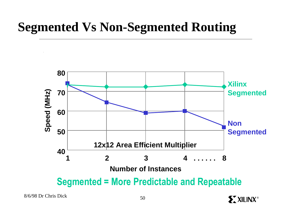### **Segmented Vs Non-Segmented Routing**

![](_page_49_Figure_1.jpeg)

 $8/6/98$  Dr Chris Dick  $50$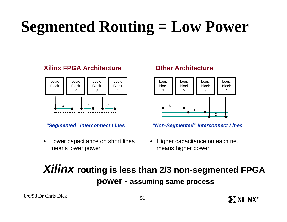# **Segmented Routing = Low Power**

#### **Xilinx FPGA Architecture**

![](_page_50_Figure_2.jpeg)

*"Segmented" Interconnect Lines*

• Lower capacitance on short lines means lower power

#### **Other Architecture**

![](_page_50_Figure_6.jpeg)

*"Non-Segmented" Interconnect Lines*

• Higher capacitance on each net means higher power

**SXXILINX®** 

#### *Xilinx* **routing is less than 2/3 non-segmented FPGA power - assuming same process**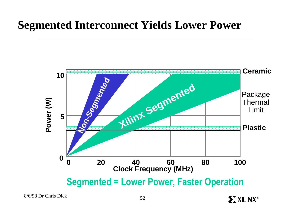#### **Segmented Interconnect Yields Lower Power**

![](_page_51_Figure_1.jpeg)

 $8/6/98$  Dr Chris Dick 52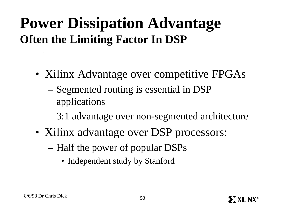### **Power Dissipation Advantage Often the Limiting Factor In DSP**

- Xilinx Advantage over competitive FPGAs
	- Segmented routing is essential in DSP applications
	- 3:1 advantage over non-segmented architecture
- Xilinx advantage over DSP processors:
	- Half the power of popular DSPs
		- Independent study by Stanford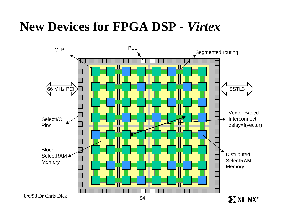### **New Devices for FPGA DSP -** *Virtex*

![](_page_53_Figure_1.jpeg)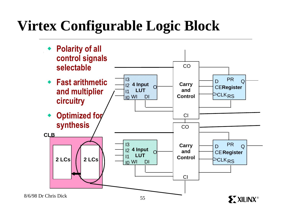### **Virtex Configurable Logic Block**

![](_page_54_Figure_1.jpeg)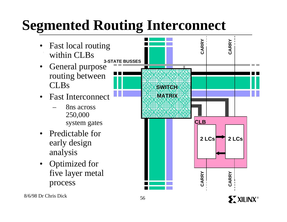### **Segmented Routing Interconnect**

- Fast local routing within CLBs
- General purpose routing between CLBs
- Fast Interconnect
	- 8ns across 250,000 system gates
- Predictable for early design analysis
- Optimized for five layer metal process

![](_page_55_Figure_7.jpeg)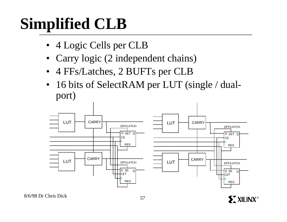# **Simplified CLB**

- 4 Logic Cells per CLB
- Carry logic (2 independent chains)
- 4 FFs/Latches, 2 BUFTs per CLB
- 16 bits of SelectRAM per LUT (single / dualport)

![](_page_56_Figure_5.jpeg)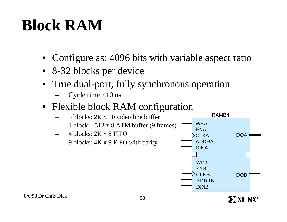# **Block RAM**

- Configure as: 4096 bits with variable aspect ratio
- 8-32 blocks per device
- True dual-port, fully synchronous operation
	- Cycle time  $<$ 10 ns
- Flexible block RAM configuration
	- 5 blocks: 2K x 10 video line buffer
	- $-$  1 block: 512 x 8 ATM buffer (9 frames)
	- 4 blocks: 2K x 8 FIFO
	- 9 blocks: 4K x 9 FIFO with parity

![](_page_57_Figure_10.jpeg)

![](_page_57_Picture_11.jpeg)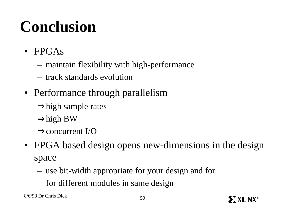# **Conclusion**

- FPGAs
	- maintain flexibility with high-performance
	- track standards evolution
- Performance through parallelism
	- $\Rightarrow$ high sample rates
	- ⇒high BW
	- ⇒concurrent I/O
- FPGA based design opens new-dimensions in the design space
	- use bit-width appropriate for your design and for
		- for different modules in same design

8/6/98 Dr Chris Dick 59

**SX XILINX®**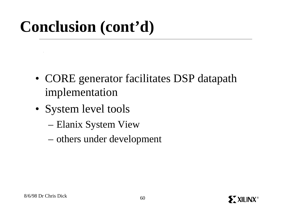# **Conclusion (cont'd)**

- CORE generator facilitates DSP datapath implementation
- System level tools
	- Elanix System View
	- others under development